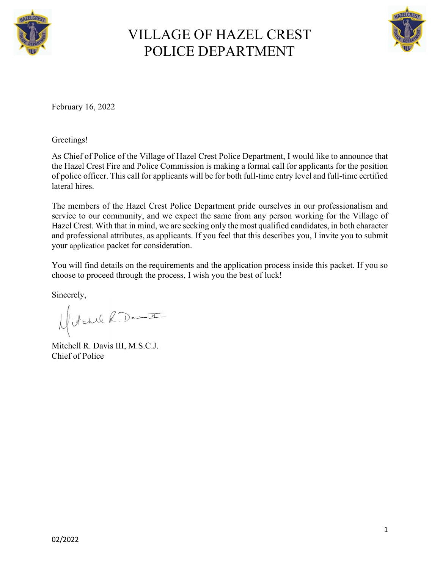



February 16, 2022

Greetings!

As Chief of Police of the Village of Hazel Crest Police Department, I would like to announce that the Hazel Crest Fire and Police Commission is making a formal call for applicants for the position of police officer. This call for applicants will be for both full-time entry level and full-time certified lateral hires.

The members of the Hazel Crest Police Department pride ourselves in our professionalism and service to our community, and we expect the same from any person working for the Village of Hazel Crest. With that in mind, we are seeking only the most qualified candidates, in both character and professional attributes, as applicants. If you feel that this describes you, I invite you to submit your application packet for consideration.

You will find details on the requirements and the application process inside this packet. If you so choose to proceed through the process, I wish you the best of luck!

Sincerely,<br> $H/dchilR$  Don<del>e II</del>

Mitchell R. Davis III, M.S.C.J. Chief of Police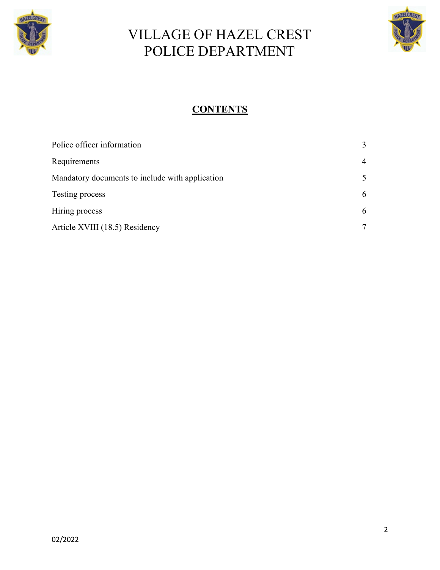



### **CONTENTS**

| Police officer information                      | $\mathcal{E}$  |
|-------------------------------------------------|----------------|
| Requirements                                    | $\overline{4}$ |
| Mandatory documents to include with application | 5              |
| Testing process                                 | 6              |
| Hiring process                                  | 6              |
| Article XVIII (18.5) Residency                  |                |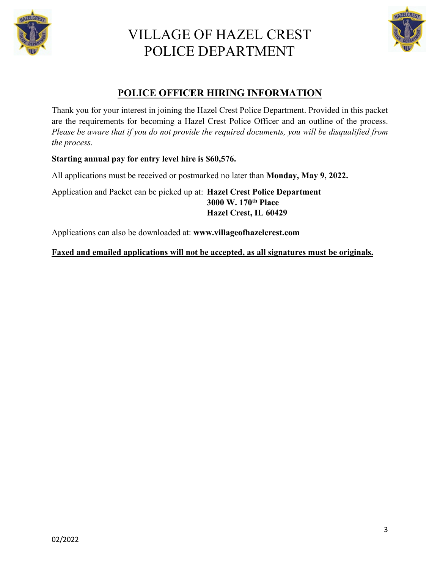



#### **POLICE OFFICER HIRING INFORMATION**

Thank you for your interest in joining the Hazel Crest Police Department. Provided in this packet are the requirements for becoming a Hazel Crest Police Officer and an outline of the process. *Please be aware that if you do not provide the required documents, you will be disqualified from the process.*

#### **Starting annual pay for entry level hire is \$60,576.**

All applications must be received or postmarked no later than **Monday, May 9, 2022.**

Application and Packet can be picked up at: **Hazel Crest Police Department 3000 W. 170th Place Hazel Crest, IL 60429**

Applications can also be downloaded at: **www.villageofhazelcrest.com**

#### **Faxed and emailed applications will not be accepted, as all signatures must be originals.**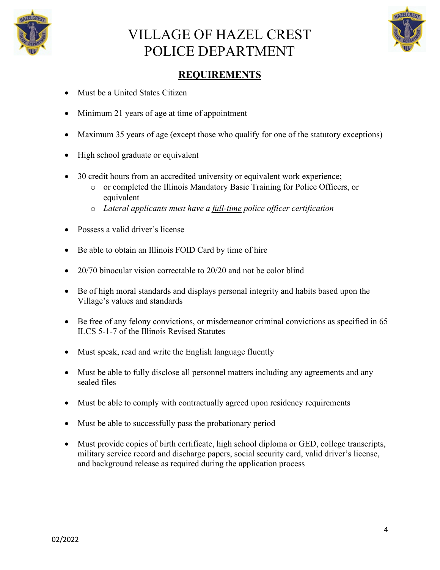



#### **REQUIREMENTS**

- Must be a United States Citizen
- Minimum 21 years of age at time of appointment
- Maximum 35 years of age (except those who qualify for one of the statutory exceptions)
- High school graduate or equivalent
- 30 credit hours from an accredited university or equivalent work experience;
	- o or completed the Illinois Mandatory Basic Training for Police Officers, or equivalent
	- o *Lateral applicants must have a full-time police officer certification*
- Possess a valid driver's license
- Be able to obtain an Illinois FOID Card by time of hire
- 20/70 binocular vision correctable to 20/20 and not be color blind
- Be of high moral standards and displays personal integrity and habits based upon the Village's values and standards
- Be free of any felony convictions, or misdemeanor criminal convictions as specified in 65 ILCS 5-1-7 of the Illinois Revised Statutes
- Must speak, read and write the English language fluently
- Must be able to fully disclose all personnel matters including any agreements and any sealed files
- Must be able to comply with contractually agreed upon residency requirements
- Must be able to successfully pass the probationary period
- Must provide copies of birth certificate, high school diploma or GED, college transcripts, military service record and discharge papers, social security card, valid driver's license, and background release as required during the application process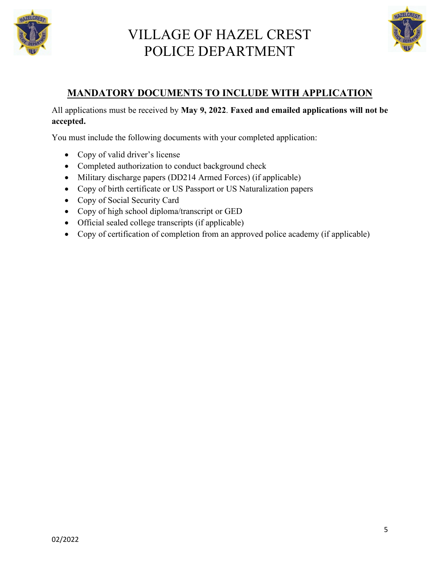



#### **MANDATORY DOCUMENTS TO INCLUDE WITH APPLICATION**

All applications must be received by **May 9, 2022**. **Faxed and emailed applications will not be accepted.** 

You must include the following documents with your completed application:

- Copy of valid driver's license
- Completed authorization to conduct background check
- Military discharge papers (DD214 Armed Forces) (if applicable)
- Copy of birth certificate or US Passport or US Naturalization papers
- Copy of Social Security Card
- Copy of high school diploma/transcript or GED
- Official sealed college transcripts (if applicable)
- Copy of certification of completion from an approved police academy (if applicable)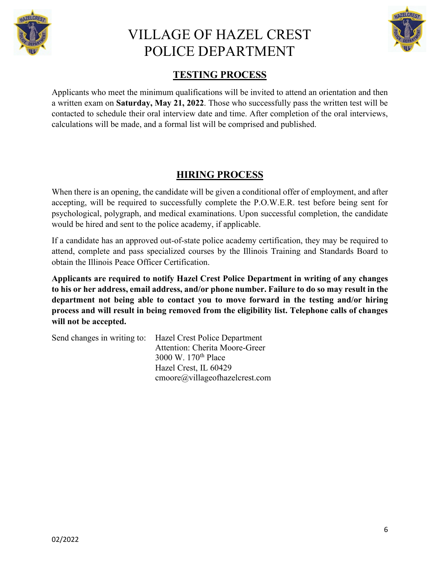



#### **TESTING PROCESS**

Applicants who meet the minimum qualifications will be invited to attend an orientation and then a written exam on **Saturday, May 21, 2022**. Those who successfully pass the written test will be contacted to schedule their oral interview date and time. After completion of the oral interviews, calculations will be made, and a formal list will be comprised and published.

#### **HIRING PROCESS**

When there is an opening, the candidate will be given a conditional offer of employment, and after accepting, will be required to successfully complete the P.O.W.E.R. test before being sent for psychological, polygraph, and medical examinations. Upon successful completion, the candidate would be hired and sent to the police academy, if applicable.

If a candidate has an approved out-of-state police academy certification, they may be required to attend, complete and pass specialized courses by the Illinois Training and Standards Board to obtain the Illinois Peace Officer Certification.

**Applicants are required to notify Hazel Crest Police Department in writing of any changes to his or her address, email address, and/or phone number. Failure to do so may result in the department not being able to contact you to move forward in the testing and/or hiring process and will result in being removed from the eligibility list. Telephone calls of changes will not be accepted.** 

Send changes in writing to: Hazel Crest Police Department Attention: Cherita Moore-Greer 3000 W. 170th Place Hazel Crest, IL 60429 cmoore@villageofhazelcrest.com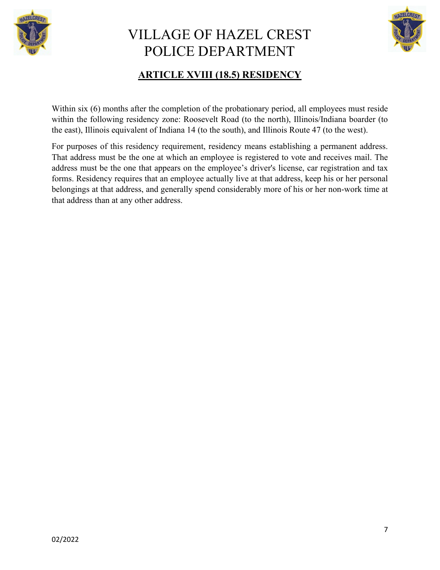



### **ARTICLE XVIII (18.5) RESIDENCY**

Within six (6) months after the completion of the probationary period, all employees must reside within the following residency zone: Roosevelt Road (to the north), Illinois/Indiana boarder (to the east), Illinois equivalent of Indiana 14 (to the south), and Illinois Route 47 (to the west).

For purposes of this residency requirement, residency means establishing a permanent address. That address must be the one at which an employee is registered to vote and receives mail. The address must be the one that appears on the employee's driver's license, car registration and tax forms. Residency requires that an employee actually live at that address, keep his or her personal belongings at that address, and generally spend considerably more of his or her non-work time at that address than at any other address.